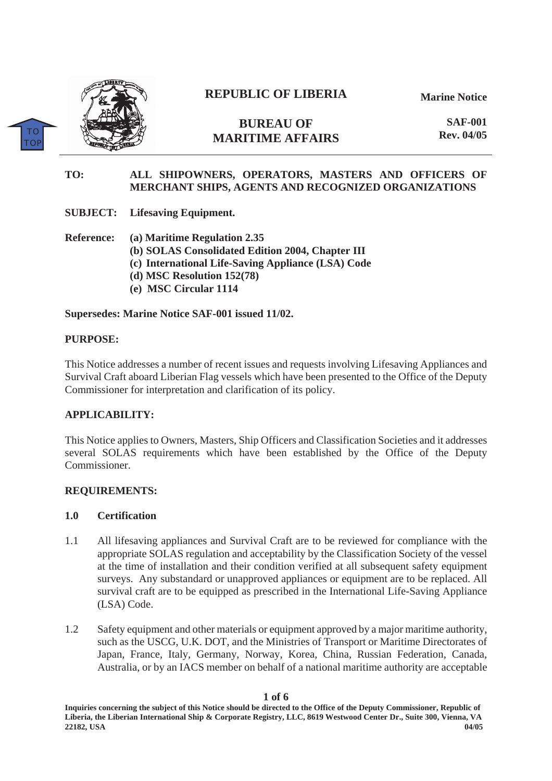

 $TC$ **TO** 

# **REPUBLIC OF LIBERIA**

**Marine Notice**

**BUREAU OF MARITIME AFFAIRS** 

**SAF-001 Rev. 04/05**

# **TO: ALL SHIPOWNERS, OPERATORS, MASTERS AND OFFICERS OF MERCHANT SHIPS, AGENTS AND RECOGNIZED ORGANIZATIONS**

**SUBJECT: Lifesaving Equipment.** 

**Reference: (a) Maritime Regulation 2.35 (b) SOLAS Consolidated Edition 2004, Chapter III (c) International Life-Saving Appliance (LSA) Code (d) MSC Resolution 152(78) (e) MSC Circular 1114** 

**Supersedes: Marine Notice SAF-001 issued 11/02.** 

#### **PURPOSE:**

This Notice addresses a number of recent issues and requests involving Lifesaving Appliances and Survival Craft aboard Liberian Flag vessels which have been presented to the Office of the Deputy Commissioner for interpretation and clarification of its policy.

#### **APPLICABILITY:**

This Notice applies to Owners, Masters, Ship Officers and Classification Societies and it addresses several SOLAS requirements which have been established by the Office of the Deputy Commissioner.

#### **REQUIREMENTS:**

#### **1.0 Certification**

- 1.1 All lifesaving appliances and Survival Craft are to be reviewed for compliance with the appropriate SOLAS regulation and acceptability by the Classification Society of the vessel at the time of installation and their condition verified at all subsequent safety equipment surveys. Any substandard or unapproved appliances or equipment are to be replaced. All survival craft are to be equipped as prescribed in the International Life-Saving Appliance (LSA) Code.
- 1.2 Safety equipment and other materials or equipment approved by a major maritime authority, such as the USCG, U.K. DOT, and the Ministries of Transport or Maritime Directorates of Japan, France, Italy, Germany, Norway, Korea, China, Russian Federation, Canada, Australia, or by an IACS member on behalf of a national maritime authority are acceptable

**1 of 6**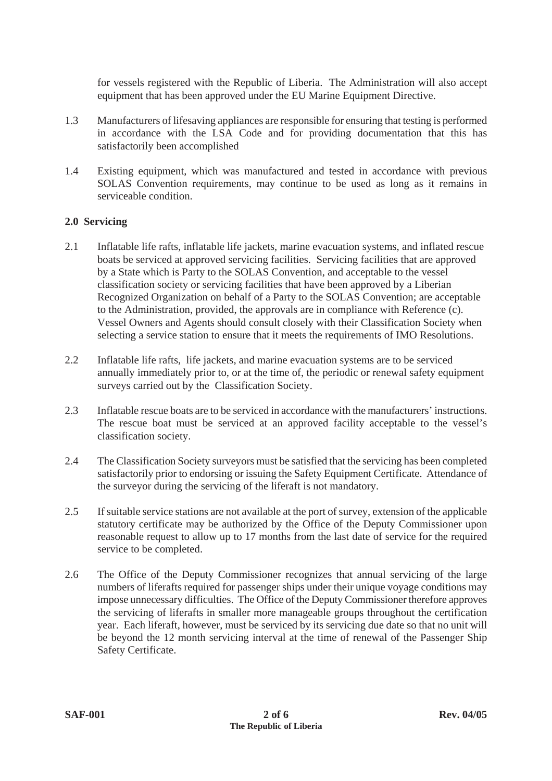for vessels registered with the Republic of Liberia. The Administration will also accept equipment that has been approved under the EU Marine Equipment Directive.

- 1.3 Manufacturers of lifesaving appliances are responsible for ensuring that testing is performed in accordance with the LSA Code and for providing documentation that this has satisfactorily been accomplished
- 1.4 Existing equipment, which was manufactured and tested in accordance with previous SOLAS Convention requirements, may continue to be used as long as it remains in serviceable condition.

### **2.0 Servicing**

- 2.1 Inflatable life rafts, inflatable life jackets, marine evacuation systems, and inflated rescue boats be serviced at approved servicing facilities. Servicing facilities that are approved by a State which is Party to the SOLAS Convention, and acceptable to the vessel classification society or servicing facilities that have been approved by a Liberian Recognized Organization on behalf of a Party to the SOLAS Convention; are acceptable to the Administration, provided, the approvals are in compliance with Reference (c). Vessel Owners and Agents should consult closely with their Classification Society when selecting a service station to ensure that it meets the requirements of IMO Resolutions.
- 2.2 Inflatable life rafts, life jackets, and marine evacuation systems are to be serviced annually immediately prior to, or at the time of, the periodic or renewal safety equipment surveys carried out by the Classification Society.
- 2.3 Inflatable rescue boats are to be serviced in accordance with the manufacturers' instructions. The rescue boat must be serviced at an approved facility acceptable to the vessel's classification society.
- 2.4 The Classification Society surveyors must be satisfied that the servicing has been completed satisfactorily prior to endorsing or issuing the Safety Equipment Certificate. Attendance of the surveyor during the servicing of the liferaft is not mandatory.
- 2.5 If suitable service stations are not available at the port of survey, extension of the applicable statutory certificate may be authorized by the Office of the Deputy Commissioner upon reasonable request to allow up to 17 months from the last date of service for the required service to be completed.
- 2.6 The Office of the Deputy Commissioner recognizes that annual servicing of the large numbers of liferafts required for passenger ships under their unique voyage conditions may impose unnecessary difficulties. The Office of the Deputy Commissioner therefore approves the servicing of liferafts in smaller more manageable groups throughout the certification year. Each liferaft, however, must be serviced by its servicing due date so that no unit will be beyond the 12 month servicing interval at the time of renewal of the Passenger Ship Safety Certificate.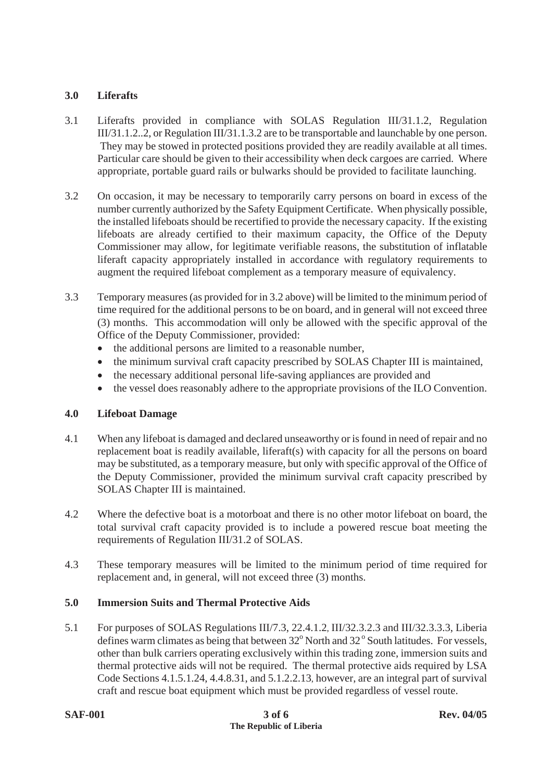# **3.0 Liferafts**

- 3.1 Liferafts provided in compliance with SOLAS Regulation III/31.1.2, Regulation III/31.1.2..2, or Regulation III/31.1.3.2 are to be transportable and launchable by one person. They may be stowed in protected positions provided they are readily available at all times. Particular care should be given to their accessibility when deck cargoes are carried. Where appropriate, portable guard rails or bulwarks should be provided to facilitate launching.
- 3.2 On occasion, it may be necessary to temporarily carry persons on board in excess of the number currently authorized by the Safety Equipment Certificate. When physically possible, the installed lifeboats should be recertified to provide the necessary capacity. If the existing lifeboats are already certified to their maximum capacity, the Office of the Deputy Commissioner may allow, for legitimate verifiable reasons, the substitution of inflatable liferaft capacity appropriately installed in accordance with regulatory requirements to augment the required lifeboat complement as a temporary measure of equivalency.
- 3.3 Temporary measures (as provided for in 3.2 above) will be limited to the minimum period of time required for the additional persons to be on board, and in general will not exceed three (3) months. This accommodation will only be allowed with the specific approval of the Office of the Deputy Commissioner, provided:
	- the additional persons are limited to a reasonable number,
	- $\bullet$  the minimum survival craft capacity prescribed by SOLAS Chapter III is maintained,
	- the necessary additional personal life-saving appliances are provided and
	- the vessel does reasonably adhere to the appropriate provisions of the ILO Convention.

# **4.0 Lifeboat Damage**

- 4.1 When any lifeboat is damaged and declared unseaworthy or is found in need of repair and no replacement boat is readily available, liferaft(s) with capacity for all the persons on board may be substituted, as a temporary measure, but only with specific approval of the Office of the Deputy Commissioner, provided the minimum survival craft capacity prescribed by SOLAS Chapter III is maintained.
- 4.2 Where the defective boat is a motorboat and there is no other motor lifeboat on board, the total survival craft capacity provided is to include a powered rescue boat meeting the requirements of Regulation III/31.2 of SOLAS.
- 4.3 These temporary measures will be limited to the minimum period of time required for replacement and, in general, will not exceed three (3) months.

# **5.0 Immersion Suits and Thermal Protective Aids**

5.1 For purposes of SOLAS Regulations III/7.3, 22.4.1.2, III/32.3.2.3 and III/32.3.3.3, Liberia defines warm climates as being that between  $32^{\circ}$  North and  $32^{\circ}$  South latitudes. For vessels, other than bulk carriers operating exclusively within this trading zone, immersion suits and thermal protective aids will not be required. The thermal protective aids required by LSA Code Sections 4.1.5.1.24, 4.4.8.31, and 5.1.2.2.13, however, are an integral part of survival craft and rescue boat equipment which must be provided regardless of vessel route.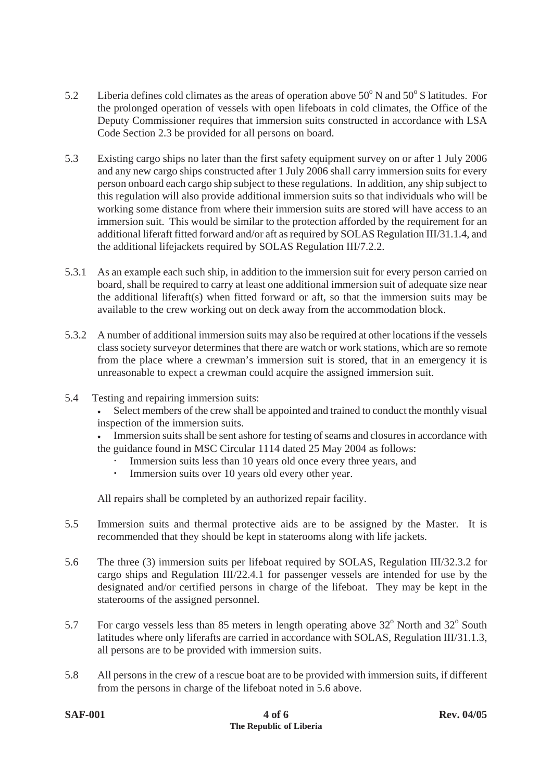- 5.2 Liberia defines cold climates as the areas of operation above  $50^{\circ}$  N and  $50^{\circ}$  S latitudes. For the prolonged operation of vessels with open lifeboats in cold climates, the Office of the Deputy Commissioner requires that immersion suits constructed in accordance with LSA Code Section 2.3 be provided for all persons on board.
- 5.3 Existing cargo ships no later than the first safety equipment survey on or after 1 July 2006 and any new cargo ships constructed after 1 July 2006 shall carry immersion suits for every person onboard each cargo ship subject to these regulations. In addition, any ship subject to this regulation will also provide additional immersion suits so that individuals who will be working some distance from where their immersion suits are stored will have access to an immersion suit. This would be similar to the protection afforded by the requirement for an additional liferaft fitted forward and/or aft as required by SOLAS Regulation III/31.1.4, and the additional lifejackets required by SOLAS Regulation III/7.2.2.
- 5.3.1 As an example each such ship, in addition to the immersion suit for every person carried on board, shall be required to carry at least one additional immersion suit of adequate size near the additional liferaft(s) when fitted forward or aft, so that the immersion suits may be available to the crew working out on deck away from the accommodation block.
- 5.3.2 A number of additional immersion suits may also be required at other locations if the vessels class society surveyor determines that there are watch or work stations, which are so remote from the place where a crewman's immersion suit is stored, that in an emergency it is unreasonable to expect a crewman could acquire the assigned immersion suit.
- 5.4 Testing and repairing immersion suits:
	- Select members of the crew shall be appointed and trained to conduct the monthly visual inspection of the immersion suits.
	- <sup>x</sup> Immersion suits shall be sent ashore for testing of seams and closures in accordance with the guidance found in MSC Circular 1114 dated 25 May 2004 as follows:
		- Immersion suits less than 10 years old once every three years, and
		- Immersion suits over 10 years old every other year.

All repairs shall be completed by an authorized repair facility.

- 5.5 Immersion suits and thermal protective aids are to be assigned by the Master. It is recommended that they should be kept in staterooms along with life jackets.
- 5.6 The three (3) immersion suits per lifeboat required by SOLAS, Regulation III/32.3.2 for cargo ships and Regulation III/22.4.1 for passenger vessels are intended for use by the designated and/or certified persons in charge of the lifeboat. They may be kept in the staterooms of the assigned personnel.
- 5.7 For cargo vessels less than 85 meters in length operating above  $32^{\circ}$  North and  $32^{\circ}$  South latitudes where only liferafts are carried in accordance with SOLAS, Regulation III/31.1.3, all persons are to be provided with immersion suits.
- 5.8 All persons in the crew of a rescue boat are to be provided with immersion suits, if different from the persons in charge of the lifeboat noted in 5.6 above.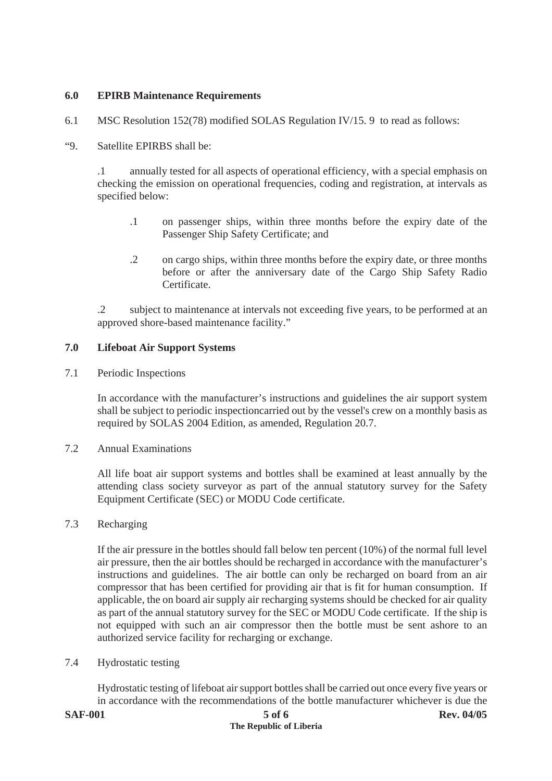# **6.0 EPIRB Maintenance Requirements**

6.1 MSC Resolution 152(78) modified SOLAS Regulation IV/15. 9 to read as follows:

#### "9. Satellite EPIRBS shall be:

.1 annually tested for all aspects of operational efficiency, with a special emphasis on checking the emission on operational frequencies, coding and registration, at intervals as specified below:

- .1 on passenger ships, within three months before the expiry date of the Passenger Ship Safety Certificate; and
- .2 on cargo ships, within three months before the expiry date, or three months before or after the anniversary date of the Cargo Ship Safety Radio Certificate.

.2 subject to maintenance at intervals not exceeding five years, to be performed at an approved shore-based maintenance facility."

### **7.0 Lifeboat Air Support Systems**

7.1 Periodic Inspections

In accordance with the manufacturer's instructions and guidelines the air support system shall be subject to periodic inspectioncarried out by the vessel's crew on a monthly basis as required by SOLAS 2004 Edition, as amended, Regulation 20.7.

7.2 Annual Examinations

All life boat air support systems and bottles shall be examined at least annually by the attending class society surveyor as part of the annual statutory survey for the Safety Equipment Certificate (SEC) or MODU Code certificate.

#### 7.3 Recharging

If the air pressure in the bottles should fall below ten percent (10%) of the normal full level air pressure, then the air bottles should be recharged in accordance with the manufacturer's instructions and guidelines. The air bottle can only be recharged on board from an air compressor that has been certified for providing air that is fit for human consumption. If applicable, the on board air supply air recharging systems should be checked for air quality as part of the annual statutory survey for the SEC or MODU Code certificate. If the ship is not equipped with such an air compressor then the bottle must be sent ashore to an authorized service facility for recharging or exchange.

7.4 Hydrostatic testing

Hydrostatic testing of lifeboat air support bottles shall be carried out once every five years or in accordance with the recommendations of the bottle manufacturer whichever is due the